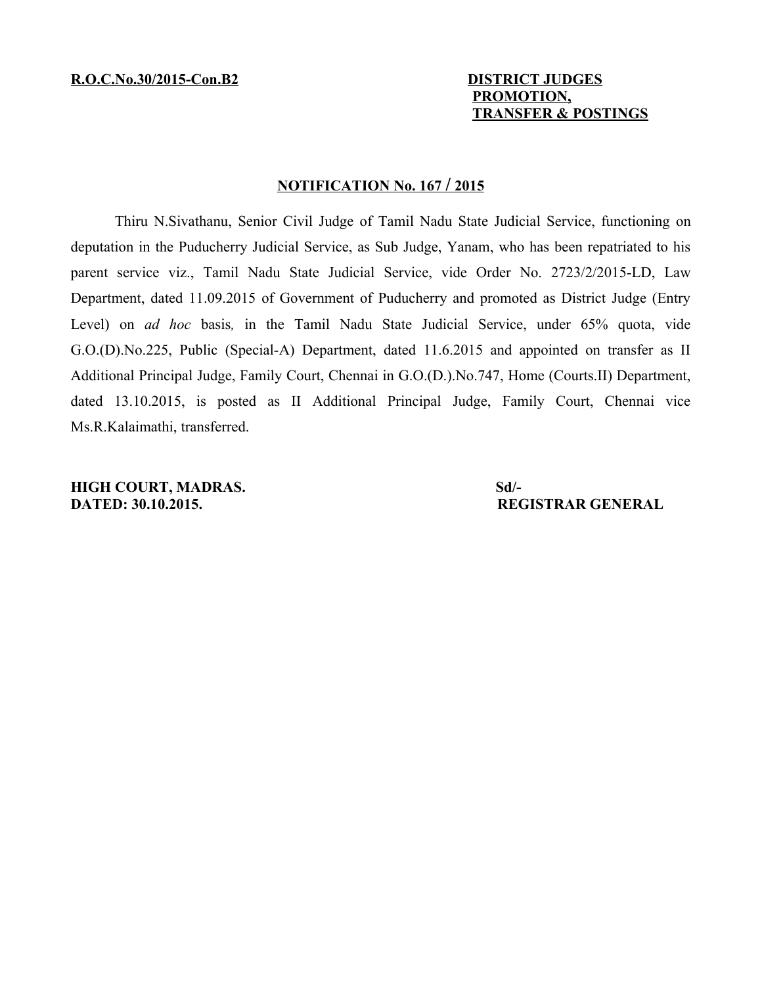## **PROMOTION, TRANSFER & POSTINGS**

## **NOTIFICATION No. 167 / 2015**

Thiru N.Sivathanu, Senior Civil Judge of Tamil Nadu State Judicial Service, functioning on deputation in the Puducherry Judicial Service, as Sub Judge, Yanam, who has been repatriated to his parent service viz., Tamil Nadu State Judicial Service, vide Order No. 2723/2/2015-LD, Law Department, dated 11.09.2015 of Government of Puducherry and promoted as District Judge (Entry Level) on *ad hoc* basis*,* in the Tamil Nadu State Judicial Service, under 65% quota, vide G.O.(D).No.225, Public (Special-A) Department, dated 11.6.2015 and appointed on transfer as II Additional Principal Judge, Family Court, Chennai in G.O.(D.).No.747, Home (Courts.II) Department, dated 13.10.2015, is posted as II Additional Principal Judge, Family Court, Chennai vice Ms.R.Kalaimathi, transferred.

**HIGH COURT, MADRAS.** Sd/-**DATED: 30.10.2015. REGISTRAR GENERAL**